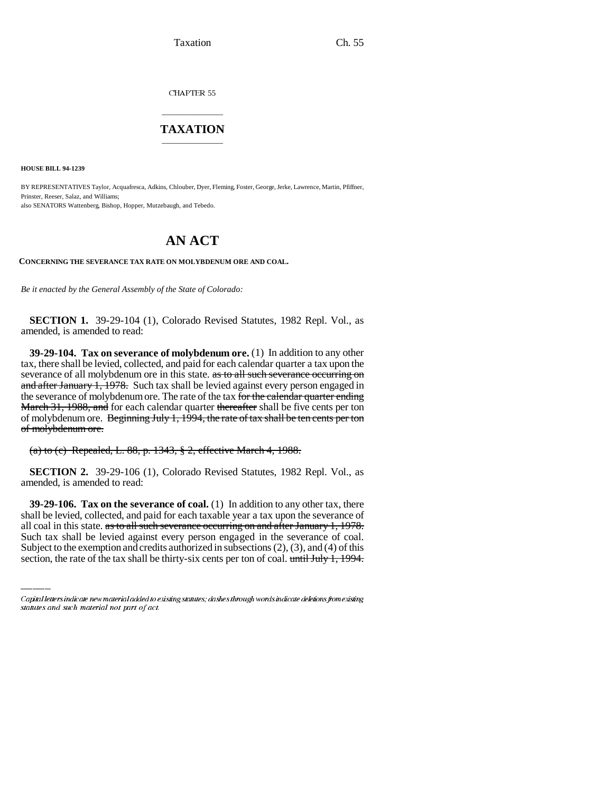Taxation Ch. 55

CHAPTER 55

## \_\_\_\_\_\_\_\_\_\_\_\_\_\_\_ **TAXATION** \_\_\_\_\_\_\_\_\_\_\_\_\_\_\_

**HOUSE BILL 94-1239**

BY REPRESENTATIVES Taylor, Acquafresca, Adkins, Chlouber, Dyer, Fleming, Foster, George, Jerke, Lawrence, Martin, Pfiffner, Prinster, Reeser, Salaz, and Williams; also SENATORS Wattenberg, Bishop, Hopper, Mutzebaugh, and Tebedo.

## **AN ACT**

**CONCERNING THE SEVERANCE TAX RATE ON MOLYBDENUM ORE AND COAL.**

*Be it enacted by the General Assembly of the State of Colorado:*

**SECTION 1.** 39-29-104 (1), Colorado Revised Statutes, 1982 Repl. Vol., as amended, is amended to read:

**39-29-104. Tax on severance of molybdenum ore.** (1) In addition to any other tax, there shall be levied, collected, and paid for each calendar quarter a tax upon the severance of all molybdenum ore in this state. as to all such severance occurring on and after January 1, 1978. Such tax shall be levied against every person engaged in the severance of molybdenum ore. The rate of the tax for the calendar quarter ending March 31, 1988, and for each calendar quarter thereafter shall be five cents per ton of molybdenum ore. Beginning July 1,  $1994$ , the rate of tax shall be ten cents per ton of molybdenum ore.

(a) to (c) Repealed, L. 88, p. 1343, § 2, effective March 4, 1988.

**SECTION 2.** 39-29-106 (1), Colorado Revised Statutes, 1982 Repl. Vol., as amended, is amended to read:

shall be levied, collected, and paid for each taxable year a tax upon the severance of **39-29-106. Tax on the severance of coal.** (1) In addition to any other tax, there all coal in this state. as to all such severance occurring on and after January 1, 1978. Such tax shall be levied against every person engaged in the severance of coal. Subject to the exemption and credits authorized in subsections  $(2)$ ,  $(3)$ , and  $(4)$  of this section, the rate of the tax shall be thirty-six cents per ton of coal. until July 1, 1994.

Capital letters indicate new material added to existing statutes; dashes through words indicate deletions from existing statutes and such material not part of act.